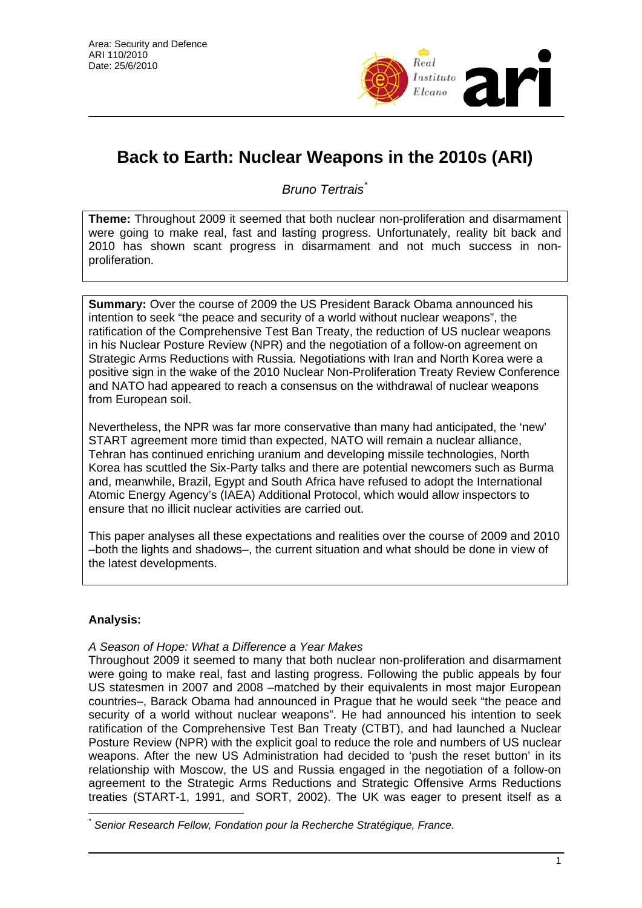

# **Back to Earth: Nuclear Weapons in the 2010s (ARI)**

*Bruno Tertrais*[\\*](#page-0-0)

**Theme:** Throughout 2009 it seemed that both nuclear non-proliferation and disarmament were going to make real, fast and lasting progress. Unfortunately, reality bit back and 2010 has shown scant progress in disarmament and not much success in nonproliferation.

**Summary:** Over the course of 2009 the US President Barack Obama announced his intention to seek "the peace and security of a world without nuclear weapons", the ratification of the Comprehensive Test Ban Treaty, the reduction of US nuclear weapons in his Nuclear Posture Review (NPR) and the negotiation of a follow-on agreement on Strategic Arms Reductions with Russia. Negotiations with Iran and North Korea were a positive sign in the wake of the 2010 Nuclear Non-Proliferation Treaty Review Conference and NATO had appeared to reach a consensus on the withdrawal of nuclear weapons from European soil.

Nevertheless, the NPR was far more conservative than many had anticipated, the 'new' START agreement more timid than expected, NATO will remain a nuclear alliance, Tehran has continued enriching uranium and developing missile technologies, North Korea has scuttled the Six-Party talks and there are potential newcomers such as Burma and, meanwhile, Brazil, Egypt and South Africa have refused to adopt the International Atomic Energy Agency's (IAEA) Additional Protocol, which would allow inspectors to ensure that no illicit nuclear activities are carried out.

This paper analyses all these expectations and realities over the course of 2009 and 2010 –both the lights and shadows–, the current situation and what should be done in view of the latest developments.

## **Analysis:**

## *A Season of Hope: What a Difference a Year Makes*

Throughout 2009 it seemed to many that both nuclear non-proliferation and disarmament were going to make real, fast and lasting progress. Following the public appeals by four US statesmen in 2007 and 2008 –matched by their equivalents in most major European countries–, Barack Obama had announced in Prague that he would seek "the peace and security of a world without nuclear weapons". He had announced his intention to seek ratification of the Comprehensive Test Ban Treaty (CTBT), and had launched a Nuclear Posture Review (NPR) with the explicit goal to reduce the role and numbers of US nuclear weapons. After the new US Administration had decided to 'push the reset button' in its relationship with Moscow, the US and Russia engaged in the negotiation of a follow-on agreement to the Strategic Arms Reductions and Strategic Offensive Arms Reductions treaties (START-1, 1991, and SORT, 2002). The UK was eager to present itself as a

<span id="page-0-0"></span> $\overline{a}$ *\* Senior Research Fellow, Fondation pour la Recherche Stratégique, France.*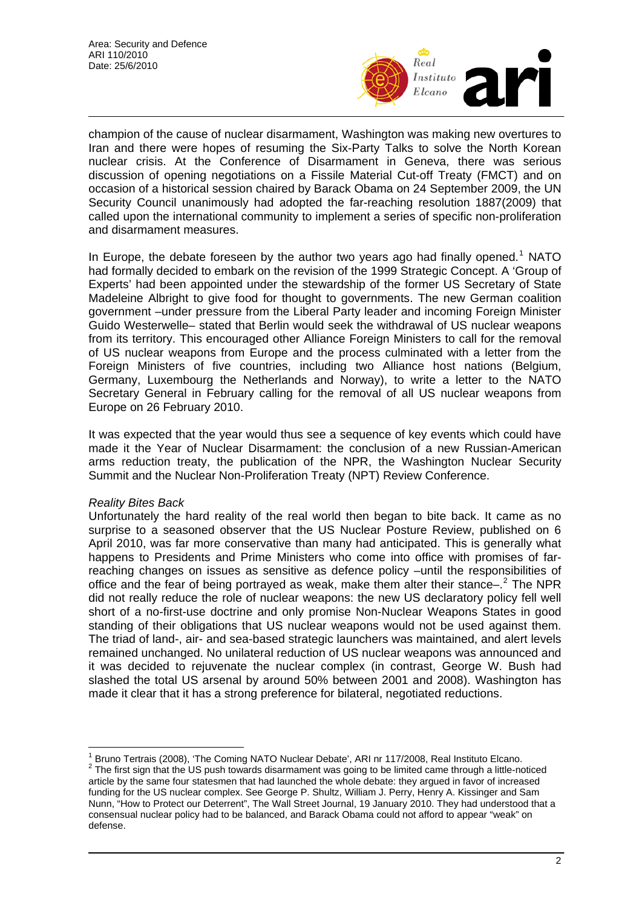

champion of the cause of nuclear disarmament, Washington was making new overtures to Iran and there were hopes of resuming the Six-Party Talks to solve the North Korean nuclear crisis. At the Conference of Disarmament in Geneva, there was serious discussion of opening negotiations on a Fissile Material Cut-off Treaty (FMCT) and on occasion of a historical session chaired by Barack Obama on 24 September 2009, the UN Security Council unanimously had adopted the far-reaching resolution 1887(2009) that called upon the international community to implement a series of specific non-proliferation and disarmament measures.

In Europe, the debate foreseen by the author two years ago had finally opened.<sup>[1](#page-1-0)</sup> NATO had formally decided to embark on the revision of the 1999 Strategic Concept. A 'Group of Experts' had been appointed under the stewardship of the former US Secretary of State Madeleine Albright to give food for thought to governments. The new German coalition government –under pressure from the Liberal Party leader and incoming Foreign Minister Guido Westerwelle– stated that Berlin would seek the withdrawal of US nuclear weapons from its territory. This encouraged other Alliance Foreign Ministers to call for the removal of US nuclear weapons from Europe and the process culminated with a letter from the Foreign Ministers of five countries, including two Alliance host nations (Belgium, Germany, Luxembourg the Netherlands and Norway), to write a letter to the NATO Secretary General in February calling for the removal of all US nuclear weapons from Europe on 26 February 2010.

It was expected that the year would thus see a sequence of key events which could have made it the Year of Nuclear Disarmament: the conclusion of a new Russian-American arms reduction treaty, the publication of the NPR, the Washington Nuclear Security Summit and the Nuclear Non-Proliferation Treaty (NPT) Review Conference.

### *Reality Bites Back*

 $\overline{a}$ 

Unfortunately the hard reality of the real world then began to bite back. It came as no surprise to a seasoned observer that the US Nuclear Posture Review, published on 6 April 2010, was far more conservative than many had anticipated. This is generally what happens to Presidents and Prime Ministers who come into office with promises of farreaching changes on issues as sensitive as defence policy –until the responsibilities of office and the fear of being portrayed as weak, make them alter their stance $-$ . <sup>[2](#page-1-1)</sup> The NPR did not really reduce the role of nuclear weapons: the new US declaratory policy fell well short of a no-first-use doctrine and only promise Non-Nuclear Weapons States in good standing of their obligations that US nuclear weapons would not be used against them. The triad of land-, air- and sea-based strategic launchers was maintained, and alert levels remained unchanged. No unilateral reduction of US nuclear weapons was announced and it was decided to rejuvenate the nuclear complex (in contrast, George W. Bush had slashed the total US arsenal by around 50% between 2001 and 2008). Washington has made it clear that it has a strong preference for bilateral, negotiated reductions.

<span id="page-1-1"></span><span id="page-1-0"></span><sup>1</sup> Bruno Tertrais (2008), 'The Coming NATO Nuclear Debate', ARI nr 117/2008, Real Instituto Elcano. 2  $2$  The first sign that the US push towards disarmament was going to be limited came through a little-noticed article by the same four statesmen that had launched the whole debate: they argued in favor of increased funding for the US nuclear complex. See George P. Shultz, William J. Perry, Henry A. Kissinger and Sam Nunn, "How to Protect our Deterrent", The Wall Street Journal, 19 January 2010. They had understood that a consensual nuclear policy had to be balanced, and Barack Obama could not afford to appear "weak" on defense.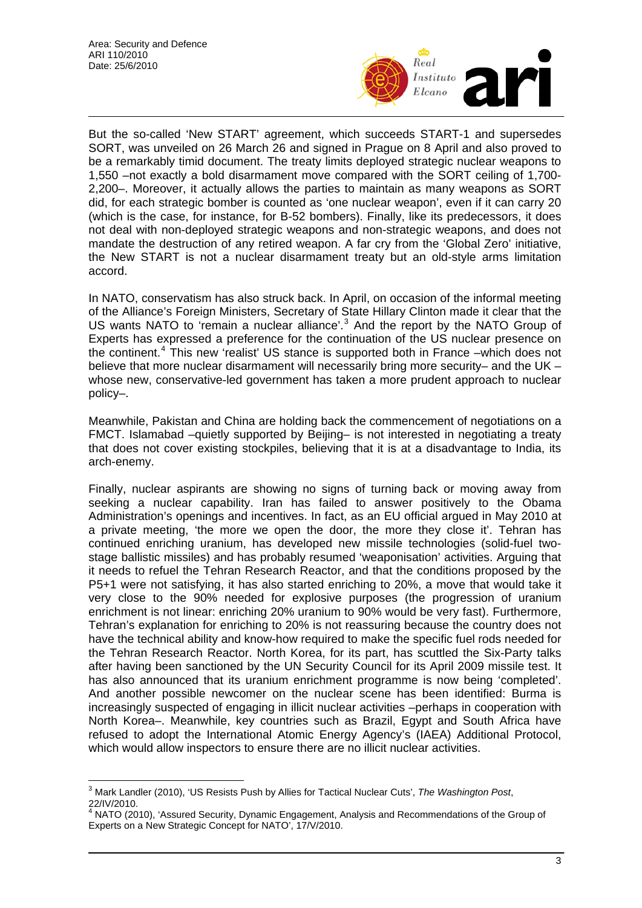

But the so-called 'New START' agreement, which succeeds START-1 and supersedes SORT, was unveiled on 26 March 26 and signed in Prague on 8 April and also proved to be a remarkably timid document. The treaty limits deployed strategic nuclear weapons to 1,550 –not exactly a bold disarmament move compared with the SORT ceiling of 1,700- 2,200–. Moreover, it actually allows the parties to maintain as many weapons as SORT did, for each strategic bomber is counted as 'one nuclear weapon', even if it can carry 20 (which is the case, for instance, for B-52 bombers). Finally, like its predecessors, it does not deal with non-deployed strategic weapons and non-strategic weapons, and does not mandate the destruction of any retired weapon. A far cry from the 'Global Zero' initiative, the New START is not a nuclear disarmament treaty but an old-style arms limitation accord.

In NATO, conservatism has also struck back. In April, on occasion of the informal meeting of the Alliance's Foreign Ministers, Secretary of State Hillary Clinton made it clear that the US wants NATO to 'remain a nuclear alliance'.<sup>[3](#page-2-0)</sup> And the report by the NATO Group of Experts has expressed a preference for the continuation of the US nuclear presence on the continent.<sup>[4](#page-2-1)</sup> This new 'realist' US stance is supported both in France –which does not believe that more nuclear disarmament will necessarily bring more security– and the UK – whose new, conservative-led government has taken a more prudent approach to nuclear policy–.

Meanwhile, Pakistan and China are holding back the commencement of negotiations on a FMCT. Islamabad –quietly supported by Beijing– is not interested in negotiating a treaty that does not cover existing stockpiles, believing that it is at a disadvantage to India, its arch-enemy.

Finally, nuclear aspirants are showing no signs of turning back or moving away from seeking a nuclear capability. Iran has failed to answer positively to the Obama Administration's openings and incentives. In fact, as an EU official argued in May 2010 at a private meeting, 'the more we open the door, the more they close it'. Tehran has continued enriching uranium, has developed new missile technologies (solid-fuel twostage ballistic missiles) and has probably resumed 'weaponisation' activities. Arguing that it needs to refuel the Tehran Research Reactor, and that the conditions proposed by the P5+1 were not satisfying, it has also started enriching to 20%, a move that would take it very close to the 90% needed for explosive purposes (the progression of uranium enrichment is not linear: enriching 20% uranium to 90% would be very fast). Furthermore, Tehran's explanation for enriching to 20% is not reassuring because the country does not have the technical ability and know-how required to make the specific fuel rods needed for the Tehran Research Reactor. North Korea, for its part, has scuttled the Six-Party talks after having been sanctioned by the UN Security Council for its April 2009 missile test. It has also announced that its uranium enrichment programme is now being 'completed'. And another possible newcomer on the nuclear scene has been identified: Burma is increasingly suspected of engaging in illicit nuclear activities –perhaps in cooperation with North Korea–. Meanwhile, key countries such as Brazil, Egypt and South Africa have refused to adopt the International Atomic Energy Agency's (IAEA) Additional Protocol, which would allow inspectors to ensure there are no illicit nuclear activities.

<span id="page-2-0"></span> $\overline{\phantom{a}}$ 3 Mark Landler (2010), 'US Resists Push by Allies for Tactical Nuclear Cuts', *The Washington Post*, 22/IV/2010.

<span id="page-2-1"></span><sup>&</sup>lt;sup>4</sup> NATO (2010), 'Assured Security, Dynamic Engagement, Analysis and Recommendations of the Group of Experts on a New Strategic Concept for NATO', 17/V/2010.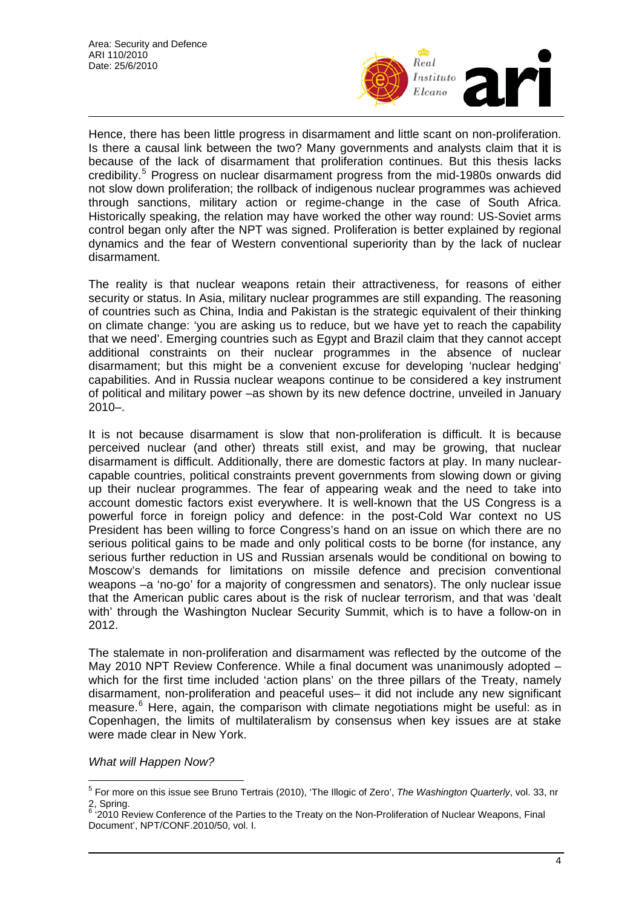

Hence, there has been little progress in disarmament and little scant on non-proliferation. Is there a causal link between the two? Many governments and analysts claim that it is because of the lack of disarmament that proliferation continues. But this thesis lacks credibility.<sup>[5](#page-3-0)</sup> Progress on nuclear disarmament progress from the mid-1980s onwards did not slow down proliferation; the rollback of indigenous nuclear programmes was achieved through sanctions, military action or regime-change in the case of South Africa. Historically speaking, the relation may have worked the other way round: US-Soviet arms control began only after the NPT was signed. Proliferation is better explained by regional dynamics and the fear of Western conventional superiority than by the lack of nuclear disarmament.

The reality is that nuclear weapons retain their attractiveness, for reasons of either security or status. In Asia, military nuclear programmes are still expanding. The reasoning of countries such as China, India and Pakistan is the strategic equivalent of their thinking on climate change: 'you are asking us to reduce, but we have yet to reach the capability that we need'. Emerging countries such as Egypt and Brazil claim that they cannot accept additional constraints on their nuclear programmes in the absence of nuclear disarmament; but this might be a convenient excuse for developing 'nuclear hedging' capabilities. And in Russia nuclear weapons continue to be considered a key instrument of political and military power –as shown by its new defence doctrine, unveiled in January 2010–.

It is not because disarmament is slow that non-proliferation is difficult. It is because perceived nuclear (and other) threats still exist, and may be growing, that nuclear disarmament is difficult. Additionally, there are domestic factors at play. In many nuclearcapable countries, political constraints prevent governments from slowing down or giving up their nuclear programmes. The fear of appearing weak and the need to take into account domestic factors exist everywhere. It is well-known that the US Congress is a powerful force in foreign policy and defence: in the post-Cold War context no US President has been willing to force Congress's hand on an issue on which there are no serious political gains to be made and only political costs to be borne (for instance, any serious further reduction in US and Russian arsenals would be conditional on bowing to Moscow's demands for limitations on missile defence and precision conventional weapons –a 'no-go' for a majority of congressmen and senators). The only nuclear issue that the American public cares about is the risk of nuclear terrorism, and that was 'dealt with' through the Washington Nuclear Security Summit, which is to have a follow-on in 2012.

The stalemate in non-proliferation and disarmament was reflected by the outcome of the May 2010 NPT Review Conference. While a final document was unanimously adopted – which for the first time included 'action plans' on the three pillars of the Treaty, namely disarmament, non-proliferation and peaceful uses– it did not include any new significant measure.<sup>[6](#page-3-1)</sup> Here, again, the comparison with climate negotiations might be useful: as in Copenhagen, the limits of multilateralism by consensus when key issues are at stake were made clear in New York.

*What will Happen Now?* 

<span id="page-3-0"></span> 5 For more on this issue see Bruno Tertrais (2010), 'The Illogic of Zero', *The Washington Quarterly*, vol. 33, nr 2, Spring.

<span id="page-3-1"></span><sup>&</sup>lt;sup>6</sup> '2010 Review Conference of the Parties to the Treaty on the Non-Proliferation of Nuclear Weapons, Final Document', NPT/CONF.2010/50, vol. I.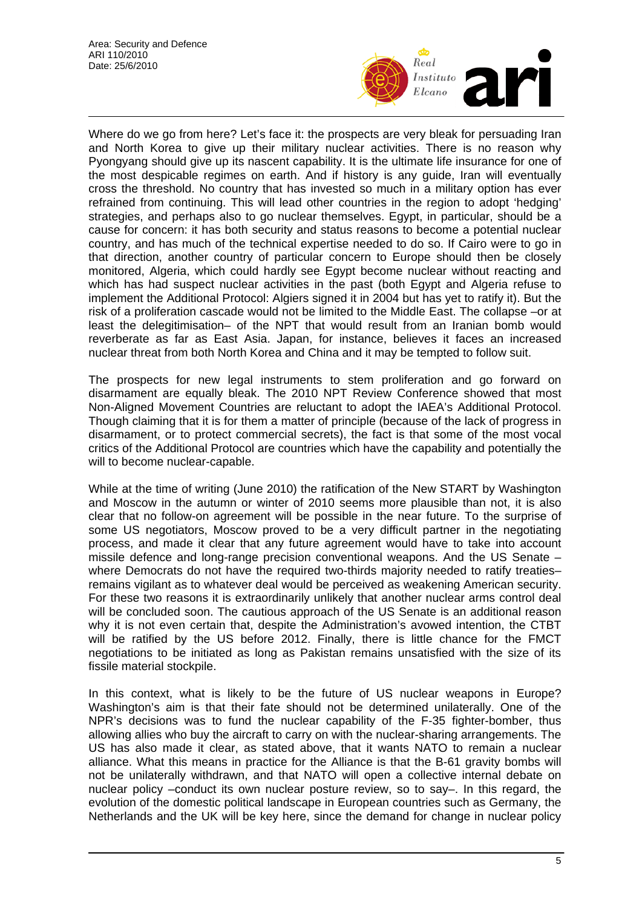

Where do we go from here? Let's face it: the prospects are very bleak for persuading Iran and North Korea to give up their military nuclear activities. There is no reason why Pyongyang should give up its nascent capability. It is the ultimate life insurance for one of the most despicable regimes on earth. And if history is any guide, Iran will eventually cross the threshold. No country that has invested so much in a military option has ever refrained from continuing. This will lead other countries in the region to adopt 'hedging' strategies, and perhaps also to go nuclear themselves. Egypt, in particular, should be a cause for concern: it has both security and status reasons to become a potential nuclear country, and has much of the technical expertise needed to do so. If Cairo were to go in that direction, another country of particular concern to Europe should then be closely monitored, Algeria, which could hardly see Egypt become nuclear without reacting and which has had suspect nuclear activities in the past (both Egypt and Algeria refuse to implement the Additional Protocol: Algiers signed it in 2004 but has yet to ratify it). But the risk of a proliferation cascade would not be limited to the Middle East. The collapse –or at least the delegitimisation– of the NPT that would result from an Iranian bomb would reverberate as far as East Asia. Japan, for instance, believes it faces an increased nuclear threat from both North Korea and China and it may be tempted to follow suit.

The prospects for new legal instruments to stem proliferation and go forward on disarmament are equally bleak. The 2010 NPT Review Conference showed that most Non-Aligned Movement Countries are reluctant to adopt the IAEA's Additional Protocol. Though claiming that it is for them a matter of principle (because of the lack of progress in disarmament, or to protect commercial secrets), the fact is that some of the most vocal critics of the Additional Protocol are countries which have the capability and potentially the will to become nuclear-capable.

While at the time of writing (June 2010) the ratification of the New START by Washington and Moscow in the autumn or winter of 2010 seems more plausible than not, it is also clear that no follow-on agreement will be possible in the near future. To the surprise of some US negotiators, Moscow proved to be a very difficult partner in the negotiating process, and made it clear that any future agreement would have to take into account missile defence and long-range precision conventional weapons. And the US Senate – where Democrats do not have the required two-thirds majority needed to ratify treatiesremains vigilant as to whatever deal would be perceived as weakening American security. For these two reasons it is extraordinarily unlikely that another nuclear arms control deal will be concluded soon. The cautious approach of the US Senate is an additional reason why it is not even certain that, despite the Administration's avowed intention, the CTBT will be ratified by the US before 2012. Finally, there is little chance for the FMCT negotiations to be initiated as long as Pakistan remains unsatisfied with the size of its fissile material stockpile.

In this context, what is likely to be the future of US nuclear weapons in Europe? Washington's aim is that their fate should not be determined unilaterally. One of the NPR's decisions was to fund the nuclear capability of the F-35 fighter-bomber, thus allowing allies who buy the aircraft to carry on with the nuclear-sharing arrangements. The US has also made it clear, as stated above, that it wants NATO to remain a nuclear alliance. What this means in practice for the Alliance is that the B-61 gravity bombs will not be unilaterally withdrawn, and that NATO will open a collective internal debate on nuclear policy –conduct its own nuclear posture review, so to say–. In this regard, the evolution of the domestic political landscape in European countries such as Germany, the Netherlands and the UK will be key here, since the demand for change in nuclear policy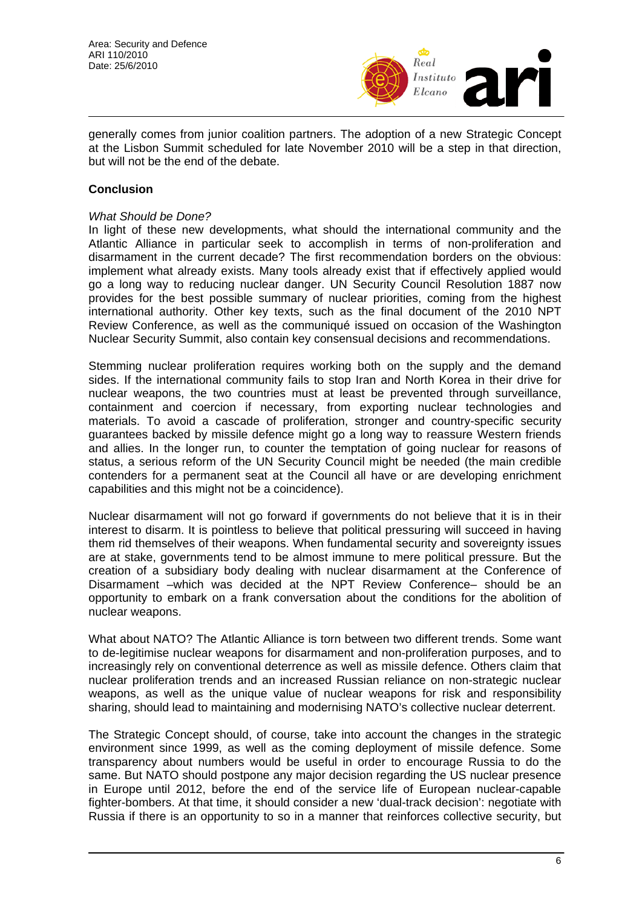

generally comes from junior coalition partners. The adoption of a new Strategic Concept at the Lisbon Summit scheduled for late November 2010 will be a step in that direction, but will not be the end of the debate.

#### **Conclusion**

#### *What Should be Done?*

In light of these new developments, what should the international community and the Atlantic Alliance in particular seek to accomplish in terms of non-proliferation and disarmament in the current decade? The first recommendation borders on the obvious: implement what already exists. Many tools already exist that if effectively applied would go a long way to reducing nuclear danger. UN Security Council Resolution 1887 now provides for the best possible summary of nuclear priorities, coming from the highest international authority. Other key texts, such as the final document of the 2010 NPT Review Conference, as well as the communiqué issued on occasion of the Washington Nuclear Security Summit, also contain key consensual decisions and recommendations.

Stemming nuclear proliferation requires working both on the supply and the demand sides. If the international community fails to stop Iran and North Korea in their drive for nuclear weapons, the two countries must at least be prevented through surveillance, containment and coercion if necessary, from exporting nuclear technologies and materials. To avoid a cascade of proliferation, stronger and country-specific security guarantees backed by missile defence might go a long way to reassure Western friends and allies. In the longer run, to counter the temptation of going nuclear for reasons of status, a serious reform of the UN Security Council might be needed (the main credible contenders for a permanent seat at the Council all have or are developing enrichment capabilities and this might not be a coincidence).

Nuclear disarmament will not go forward if governments do not believe that it is in their interest to disarm. It is pointless to believe that political pressuring will succeed in having them rid themselves of their weapons. When fundamental security and sovereignty issues are at stake, governments tend to be almost immune to mere political pressure. But the creation of a subsidiary body dealing with nuclear disarmament at the Conference of Disarmament –which was decided at the NPT Review Conference– should be an opportunity to embark on a frank conversation about the conditions for the abolition of nuclear weapons.

What about NATO? The Atlantic Alliance is torn between two different trends. Some want to de-legitimise nuclear weapons for disarmament and non-proliferation purposes, and to increasingly rely on conventional deterrence as well as missile defence. Others claim that nuclear proliferation trends and an increased Russian reliance on non-strategic nuclear weapons, as well as the unique value of nuclear weapons for risk and responsibility sharing, should lead to maintaining and modernising NATO's collective nuclear deterrent.

The Strategic Concept should, of course, take into account the changes in the strategic environment since 1999, as well as the coming deployment of missile defence. Some transparency about numbers would be useful in order to encourage Russia to do the same. But NATO should postpone any major decision regarding the US nuclear presence in Europe until 2012, before the end of the service life of European nuclear-capable fighter-bombers. At that time, it should consider a new 'dual-track decision': negotiate with Russia if there is an opportunity to so in a manner that reinforces collective security, but